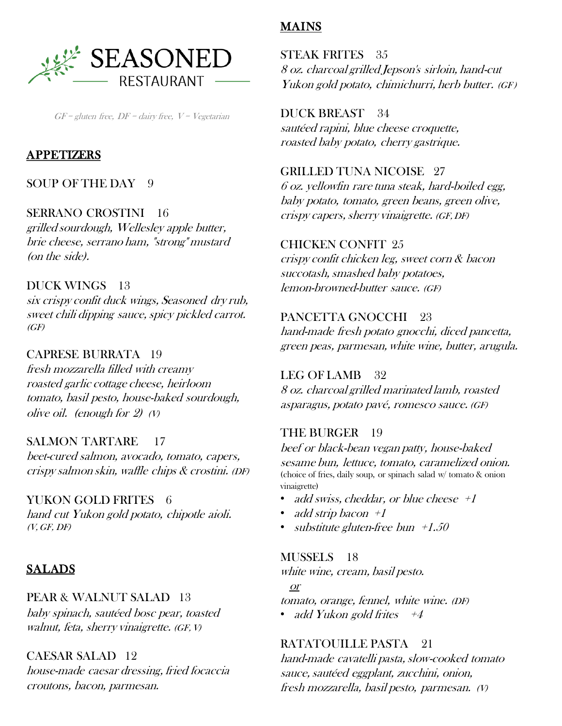

 $GF = gluten$  free,  $DF = dairy$  free,  $V = Vegetarian$ 

#### APPETIZERS

# SOUP OF THE DAY 9

### SERRANO CROSTINI 16

grilled sourdough, Wellesley apple butter, brie cheese, serrano ham, "strong" mustard (on the side).

## DUCK WINGS 13

six crispy confit duck wings, Seasoned dry rub, sweet chili dipping sauce, spicy pickled carrot.  $(GF)$ 

# CAPRESE BURRATA 19

fresh mozzarella filled with creamy roasted garlic cottage cheese, heirloom tomato, basil pesto, house-baked sourdough, olive oil. (enough for  $2$ ) (V)

### SALMON TARTARE 17

beet-cured salmon, avocado, tomato, capers, crispy salmon skin, waffle chips & crostini. (DF)

#### YUKON GOLD FRITES 6

hand cut Yukon gold potato, chipotle aioli.  $(V, GF, DF)$ 

# **SALADS**

#### PEAR & WALNUT SALAD 13

baby spinach, sautéed bosc pear, toasted walnut, feta, sherry vinaigrette. (GF, V)

CAESAR SALAD 12 house-made caesar dressing, fried focaccia croutons, bacon, parmesan.

# MAINS

STEAK FRITES 35 8 oz. charcoal grilled Jepson's sirloin, hand-cut Yukon gold potato, chimichurri, herb butter. (GF)

DUCK BREAST 34 sautéed rapini, blue cheese croquette, roasted baby potato, cherry gastrique.

GRILLED TUNA NICOISE 27 6 oz. yellowfin rare tuna steak, hard-boiled egg, baby potato, tomato, green beans, green olive, crispy capers, sherry vinaigrette. (GF, DF)

#### CHICKEN CONFIT 25

crispy confit chicken leg, sweet corn & bacon succotash, smashed baby potatoes, lemon-browned-butter sauce. (GF)

#### PANCETTA GNOCCHI 23

hand-made fresh potato gnocchi, diced pancetta, green peas, parmesan, white wine, butter, arugula.

#### LEG OF LAMB 32

8 oz. charcoal grilled marinated lamb, roasted asparagus, potato pavé, romesco sauce. (GF)

### THE BURGER 19

beef or black-bean vegan patty, house-baked sesame bun, lettuce, tomato, caramelized onion. (choice of fries, daily soup, or spinach salad w/ tomato & onion vinaigrette)

- add swiss, cheddar, or blue cheese  $+1$
- add strip bacon  $+1$
- substitute gluten-free bun  $+1.50$

#### MUSSELS 18

white wine, cream, basil pesto.

or

tomato, orange, fennel, white wine. (DF)

• add Yukon gold frites  $+4$ 

### RATATOUILLE PASTA 21

hand-made cavatelli pasta, slow-cooked tomato sauce, sautéed eggplant, zucchini, onion, fresh mozzarella, basil pesto, parmesan. (V)